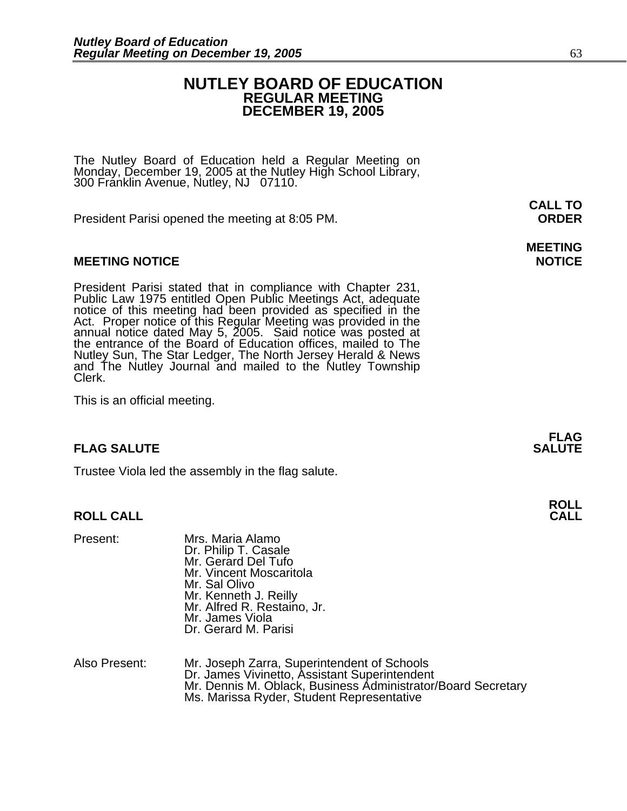#### **NUTLEY BOARD OF EDUCATION REGULAR MEETING DECEMBER 19, 2005**

**MEETING** 

The Nutley Board of Education held a Regular Meeting on Monday, December 19, 2005 at the Nutley High School Library, 300 Franklin Avenue, Nutley, NJ 07110.

President Parisi opened the meeting at 8:05 PM. **ORDER**

#### **MEETING NOTICE NOTICE AND RESERVE ASSESS**

President Parisi stated that in compliance with Chapter 231,<br>Public Law 1975 entitled Open Public Meetings Act, adequate<br>notice of this meeting had been provided as specified in the<br>Act. Proper notice of this Regular Meeti annual notice dated May 5, 2005. Said notice was posted at<br>the entrance of the Board of Education offices, mailed to The Nutley Sun, The Star Ledger, The North Jersey Herald & News and The Nutley Journal and mailed to the Nutley Township Clerk.

This is an official meeting.

#### **FLAG SALUTE SALUTE SALUTE**

Trustee Viola led the assembly in the flag salute.

#### **ROLL CALL**

| Present: | Mrs. Maria Alamo<br>Dr. Philip T. Casale<br>Mr. Gerard Del Tufo<br>Mr. Vincent Moscaritola<br>Mr. Sal Olivo<br>Mr. Kenneth J. Reilly<br>Mr. Alfred R. Restaino, Jr.<br>Mr. James Viola |
|----------|----------------------------------------------------------------------------------------------------------------------------------------------------------------------------------------|
|          | Dr. Gerard M. Parisi                                                                                                                                                                   |

| Also Present: | Mr. Joseph Zarra, Superintendent of Schools                  |
|---------------|--------------------------------------------------------------|
|               | Dr. James Vivinetto, Assistant Superintendent                |
|               | Mr. Dennis M. Oblack, Business Administrator/Board Secretary |
|               | Ms. Marissa Ryder, Student Representative                    |

**FLAG** 

**ROLL** 

## **CALL TO**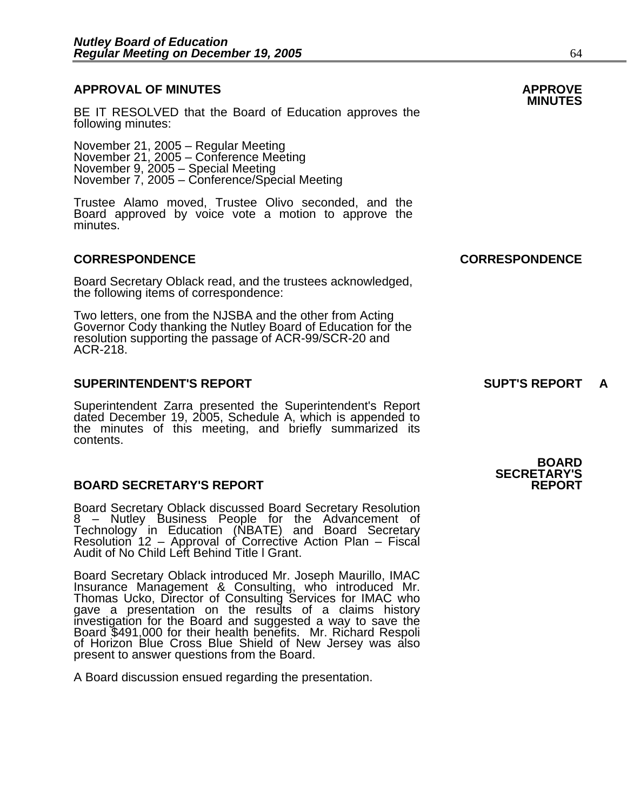### **APPROVAL OF MINUTES APPROVE**

BE IT RESOLVED that the Board of Education approves the following minutes:

 November 21, 2005 – Regular Meeting November 21, 2005 – Conference Meeting November 9, 2005 – Special Meeting

November 7, 2005 – Conference/Special Meeting<br>Trustee Alamo moved, Trustee Olivo seconded, and the Board approved by voice vote a motion to approve the minutes.

#### **CORRESPONDENCE CORRESPONDENCE**

Board Secretary Oblack read, and the trustees acknowledged, the following items of correspondence:

Two letters, one from the NJSBA and the other from Acting Governor Cody thanking the Nutley Board of Education for the resolution supporting the passage of ACR-99/SCR-20 and ACR-218.

#### **SUPERINTENDENT'S REPORT SUPT'S REPORT A**

Superintendent Zarra presented the Superintendent's Report dated December 19, 2005, Schedule A, which is appended to the minutes of this meeting, and briefly summarized its contents.

#### **BOARD SECRETARY'S REPORT**

Board Secretary Oblack discussed Board Secretary Resolution<br>8 – Nutley Business People for the Advancement of Technology in Education (NBATE) and Board Secretary<br>Resolution 12 – Approval of Corrective Action Plan – Fiscal Audit of No Child Left Behind Title l Grant.

Board Secretary Oblack introduced Mr. Joseph Maurillo, IMAC Insurance Management & Consulting, who introduced Mr. Thomas Ucko, Director of Consulting Services a presentation on the results of a claims history investigation for the Board and suggested a way to save the Board \$491,000 for their health benefits. Mr. Richard Respoli of Horizon Blue Cross Blue Shield of New Jersey was also present to answer questions from the Board.

A Board discussion ensued regarding the presentation.

#### **BOARD SECRETARY'S**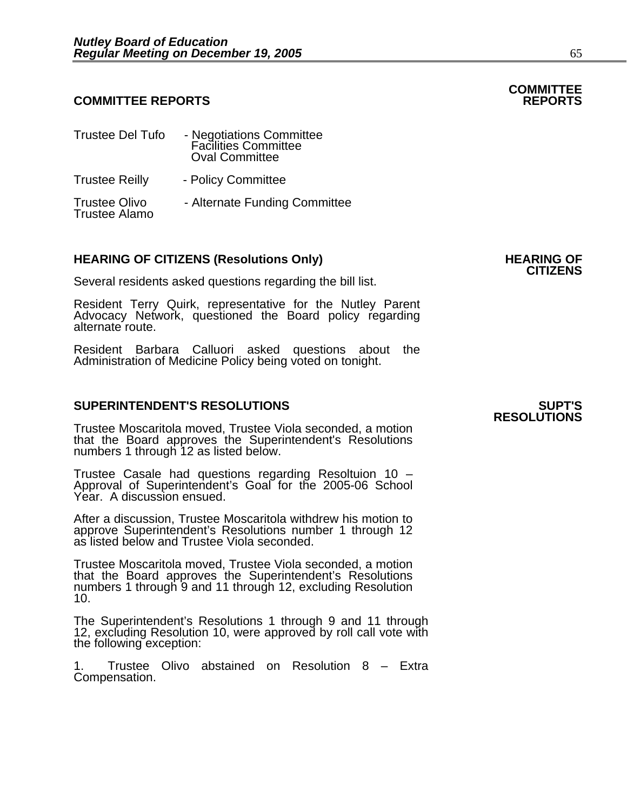#### **COMMITTEE REPORTS REPORTS**

| <b>Trustee Del Tufo</b>                      | - Negotiations Committee<br>Facilities Committee<br><b>Oval Committee</b> |
|----------------------------------------------|---------------------------------------------------------------------------|
| <b>Trustee Reilly</b>                        | - Policy Committee                                                        |
| <b>Trustee Olivo</b><br><b>Trustee Alamo</b> | - Alternate Funding Committee                                             |

### **HEARING OF CITIZENS (Resolutions Only) HEARING OF CITIZENS**

Several residents asked questions regarding the bill list.

Resident Terry Quirk, representative for the Nutley Parent Advocacy Network, questioned the Board policy regarding alternate route.

Resident Barbara Calluori asked questions about the Administration of Medicine Policy being voted on tonight.

#### **SUPERINTENDENT'S RESOLUTIONS SUPT'S**

Trustee Moscaritola moved, Trustee Viola seconded, a motion that the Board approves the Superintendent's Resolutions numbers 1 through 12 as listed below.

Trustee Casale had questions regarding Resoltuion 10 – Approval of Superintendent's Goal for the 2005-06 School Year. A discussion ensued.

After a discussion, Trustee Moscaritola withdrew his motion to approve Superintendent's Resolutions number 1 through 12 as listed below and Trustee Viola seconded.

Trustee Moscaritola moved, Trustee Viola seconded, a motion numbers 1 through 9 and 11 through 12, excluding Resolution<br>10.

The Superintendent's Resolutions 1 through 9 and 11 through 12, excluding Resolution 10, were approved by roll call vote with the following exception:

1. Trustee Olivo abstained on Resolution 8 – Extra Compensation.

### **RESOLUTIONS**

### **COMMITTEE**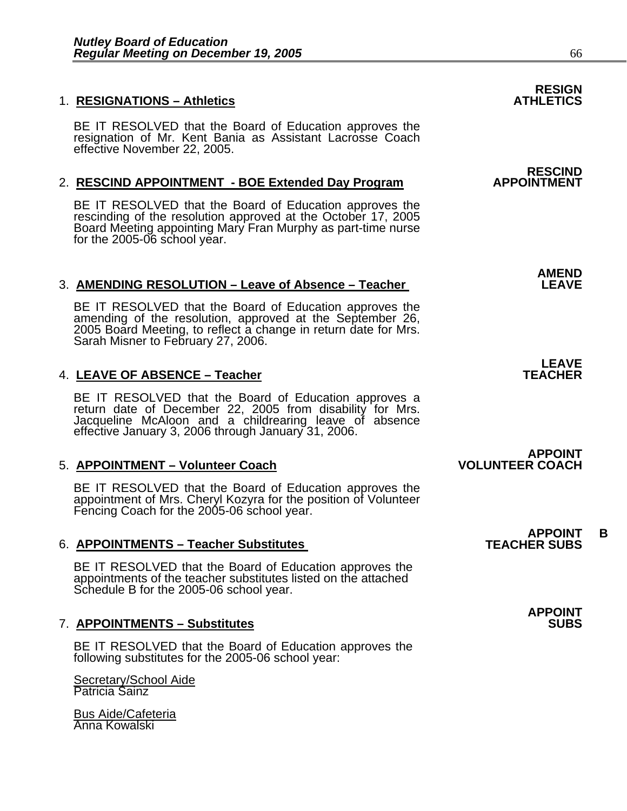#### **1. RESIGNATIONS – Athletics**

BE IT RESOLVED that the Board of Education approves the resignation of Mr. Kent Bania as Assistant Lacrosse Coach effective November 22, 2005.

#### 2. **RESCIND APPOINTMENT - BOE Extended Day Program**

BE IT RESOLVED that the Board of Education approves the rescinding of the resolution approved at the October 17, 2005 Board Meeting appointing Mary Fran Murphy as part-time nurse for the 2005-06 school year.

#### **AMEND**  3. **AMENDING RESOLUTION – Leave of Absence – Teacher LEAVE**

BE IT RESOLVED that the Board of Education approves the amending of the resolution, approved at the September 26, 2005 Board Meeting, to reflect a change in return date for Mrs. Sarah Misner to February 27, 2006.

#### 4. **LEAVE OF ABSENCE – Teacher TEACHER**

BE IT RESOLVED that the Board of Education approves a<br>return date of December 22, 2005 from disability for Mrs.<br>Jacqueline McAloon and a childrearing leave of absence effective January 3, 2006 through January 31, 2006.

#### 5. **APPOINTMENT – Volunteer Coach VOLUNTEER COACH**

BE IT RESOLVED that the Board of Education approves the appointment of Mrs. Cheryl Kozyra for the position of Volunteer Fencing Coach for the 2005-06 school year.

#### 6. **APPOINTMENTS – Teacher Substitutes TEACHER SUBS**

BE IT RESOLVED that the Board of Education approves the appointments of the teacher substitutes listed on the attached Schedule B for the 2005-06 school year.

#### 7. **APPOINTMENTS – Substitutes COVID-10 COVID-10 COVID-10 COVID-10 COVID-10 COVID-10 COVID-10 COVID-10 COVID-10 COVID-10 COVID-10 COVID-10 COVID-10 COVID-10 COVID-10 COVID-10 COVID-10 COVID-10 COVID-10 COVID-10 COVID-10 CO**

BE IT RESOLVED that the Board of Education approves the following substitutes for the 2005-06 school year:

Secretary/School Aide Patricia Sainz

Bus Aide/Cafeteria Anna Kowalski

## **RESIGN<br>ATHLETICS**

### **RESCIND<br>APPOINTMENT**

### **LEAVE**

**APPOINT** 

### **APPOINT B**

**APPOINT**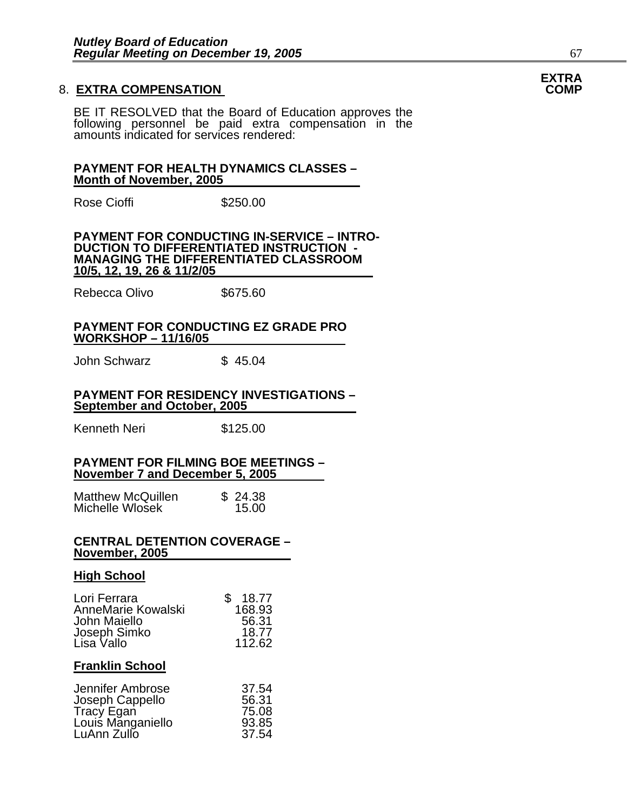#### 8. **EXTRA COMPENSATION COMP**

BE IT RESOLVED that the Board of Education approves the following personnel be paid extra compensation in the amounts indicated for services rendered:

#### **PAYMENT FOR HEALTH DYNAMICS CLASSES – Month of November, 2005**

Rose Cioffi 5250.00

#### **PAYMENT FOR CONDUCTING IN-SERVICE – INTRO-DUCTION TO DIFFERENTIATED INSTRUCTION - MANAGING THE DIFFERENTIATED CLASSROOM 10/5, 12, 19, 26 & 11/2/05**

Rebecca Olivo \$675.60

#### **PAYMENT FOR CONDUCTING EZ GRADE PRO WORKSHOP – 11/16/05**

John Schwarz  $$ 45.04$ 

#### **PAYMENT FOR RESIDENCY INVESTIGATIONS – September and October, 2005**

Kenneth Neri **\$125.00** 

#### **PAYMENT FOR FILMING BOE MEETINGS – November 7 and December 5, 2005**

| <b>Matthew McQuillen</b> | \$24.38 |
|--------------------------|---------|
| Michelle Wlosek          | 15.00   |

#### **CENTRAL DETENTION COVERAGE – November, 2005**

#### **High School**

| Lori Ferrara       | 18.77<br>\$ |
|--------------------|-------------|
| AnneMarie Kowalski | 168.93      |
| John Maiello       | 56.31       |
| Joseph Simko       | 18.77       |
| Lisa Vallo         | 112.62      |

#### **Franklin School**

| 37.54 |
|-------|
| 56.31 |
| 75.08 |
| 93.85 |
| 37.54 |
|       |

### **EXTRA**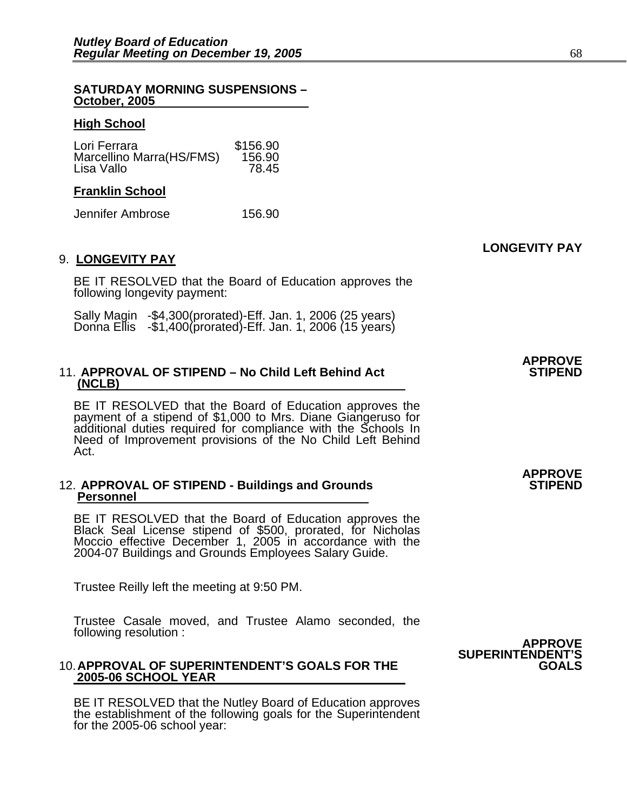#### **SATURDAY MORNING SUSPENSIONS – October, 2005**

#### **High School**

| \$156.90 |
|----------|
| 156.90   |
| 78.45    |
|          |

#### **Franklin School**

Jennifer Ambrose 156.90

#### 9. **LONGEVITY PAY**

BE IT RESOLVED that the Board of Education approves the following longevity payment:

Sally Magin -\$4,300(prorated)-Eff. Jan. 1, 2006 (25 years) Donna Ellis -\$1,400(prorated)-Eff. Jan. 1, 2006 (15 years)

#### 11. **APPROVAL OF STIPEND - No Child Left Behind Act (NCLB)**

BE IT RESOLVED that the Board of Education approves the payment of a stipend of \$1,000 to Mrs. Diane Giangeruso for additional duties required for compliance with the Schools In<br>Need of Improvement provisions of the No Child Left Behind Act.

#### 12. **APPROVAL OF STIPEND - Buildings and Grounds Personnel**

BE IT RESOLVED that the Board of Education approves the Black Seal License stipend of \$500, prorated, for Nicholas Moccio effective December 1, 2005 in accordance with the 2004-07 Buildings and Grounds Employees Salary Guide.

Trustee Reilly left the meeting at 9:50 PM.

Trustee Casale moved, and Trustee Alamo seconded, the following resolution : **APPROVE** 

#### 10. **APPROVAL OF SUPERINTENDENT'S GOALS FOR THE GOALS 2005-06 SCHOOL YEAR**

BE IT RESOLVED that the Nutley Board of Education approves the establishment of the following goals for the Superintendent for the 2005-06 school year:



**APPROVE** 

**LONGEVITY PAY**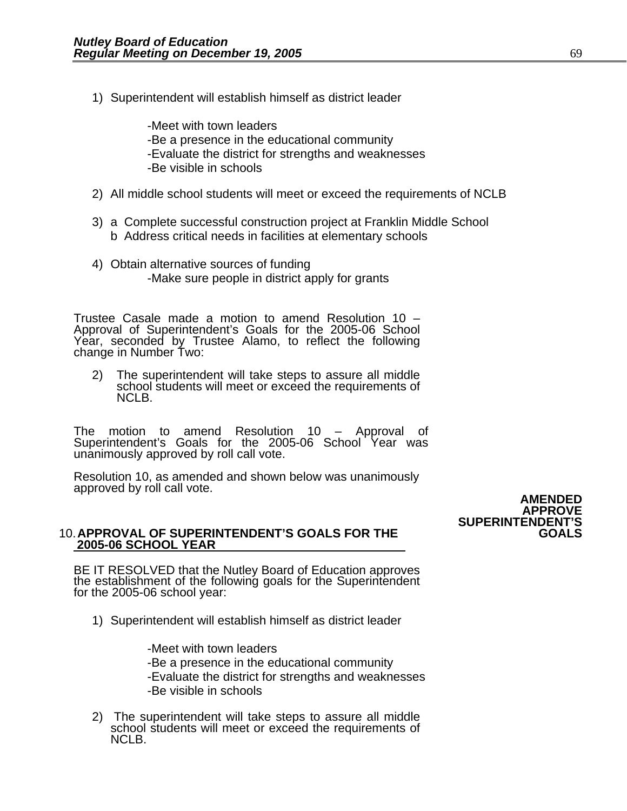1) Superintendent will establish himself as district leader

-Meet with town leaders -Be a presence in the educational community -Evaluate the district for strengths and weaknesses -Be visible in schools

- 2) All middle school students will meet or exceed the requirements of NCLB
- 3) a Complete successful construction project at Franklin Middle School b Address critical needs in facilities at elementary schools
- 4) Obtain alternative sources of funding -Make sure people in district apply for grants

Trustee Casale made a motion to amend Resolution 10 – Approval of Superintendent's Goals for the 2005-06 School Year, seconded by Trustee Alamo, to reflect the following change in Number Two:

2) The superintendent will take steps to assure all middle school students will meet or exceed the requirements of NCLB.

The motion to amend Resolution 10 – Approval of Superintendent's Goals for the 2005-06 School Year was unanimously approved by roll call vote.

Resolution 10, as amended and shown below was unanimously approved by roll call vote. **AMENDED** 

#### 10. **APPROVAL OF SUPERINTENDENT'S GOALS FOR THE GOALS 2005-06 SCHOOL YEAR**

BE IT RESOLVED that the Nutley Board of Education approves the establishment of the following goals for the Superintendent for the 2005-06 school year:

1) Superintendent will establish himself as district leader

-Meet with town leaders -Be a presence in the educational community -Evaluate the district for strengths and weaknesses -Be visible in schools

2) The superintendent will take steps to assure all middle school students will meet or exceed the requirements of NCLB.

**APPROVE SUPERINTENDENT'S**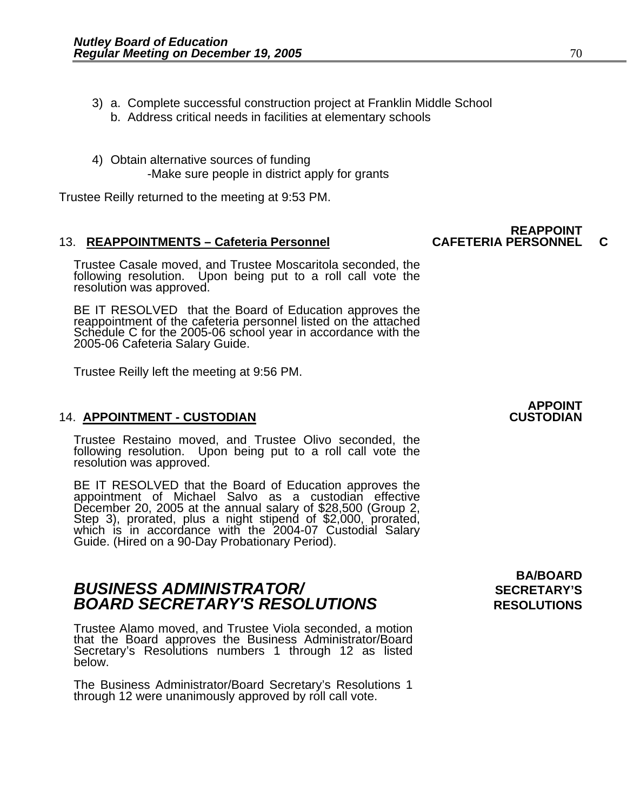- 3) a. Complete successful construction project at Franklin Middle School
	- b. Address critical needs in facilities at elementary schools
- 4) Obtain alternative sources of funding -Make sure people in district apply for grants

Trustee Reilly returned to the meeting at 9:53 PM.

#### 13. REAPPOINTMENTS - Cafeteria Personnel

Trustee Casale moved, and Trustee Moscaritola seconded, the following resolution. Upon being put to a roll call vote the resolution was approved.

BE IT RESOLVED that the Board of Education approves the reappointment of the cafeteria personnel listed on the attached Schedule C for the 2005-06 school year in accordance with the 2005-06 Cafeteria Salary Guide.

Trustee Reilly left the meeting at 9:56 PM.

#### 14. **APPOINTMENT - CUSTODIAN CUSTODIAN**

Trustee Restaino moved, and Trustee Olivo seconded, the following resolution. Upon being put to a roll call vote the resolution was approved.

BE IT RESOLVED that the Board of Education approves the<br>appointment of Michael Salvo as a custodian effective December 20, 2005 at the annual salary of \$28,500 (Group 2,<br>Step 3), prorated, plus a night stipend of \$2,000, prorated,<br>which is in accordance with the 2004-07 Custodial Salary<br>Guide. (Hired on a 90-Day Probationary Perio

### **BUSINESS ADMINISTRATOR/** *BUSINESS ADMINISTRATOR/* **BOARD SECRETARY'S RESOLUTIONS** RESOLUTIONS

Trustee Alamo moved, and Trustee Viola seconded, a motion that the Board approves the Business Administrator/Board Secretary's Resolutions numbers 1 through 12 as listed below.

The Business Administrator/Board Secretary's Resolutions 1 through 12 were unanimously approved by roll call vote.

**BA/BOARD** 

## **REAPPOINT<br>CAFETERIA PERSONNEL**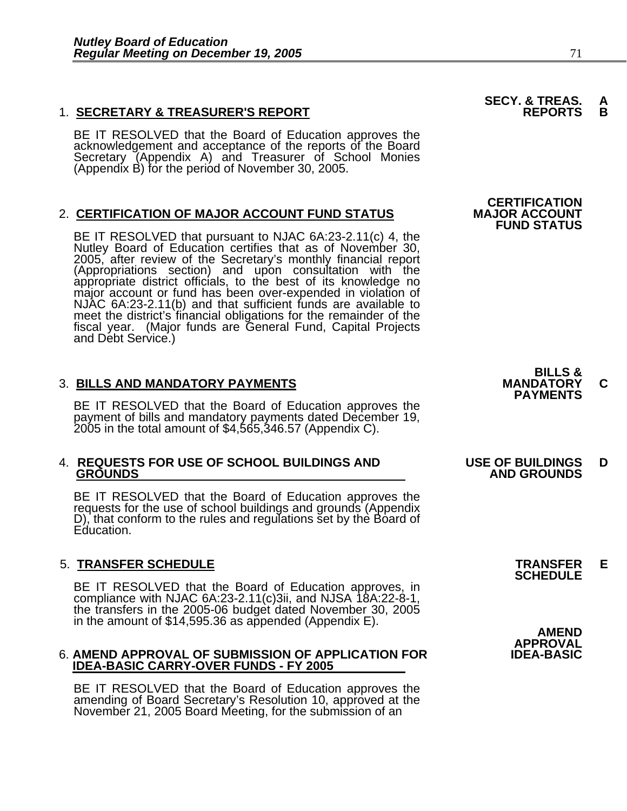#### 1. **SECRETARY & TREASURER'S REPORT REPORTS B**

BE IT RESOLVED that the Board of Education approves the<br>acknowledgement and acceptance of the reports of the Board<br>Secretary (Appendix A) and Treasurer of School Monies (Appendix B) for the period of November 30, 2005.

#### 2. **CERTIFICATION OF MAJOR ACCOUNT FUND STATUS**

BE IT RESOLVED that pursuant to NJAC 6A:23-2.11(c) 4, the<br>Nutley Board of Education certifies that as of November 30, 2005, after review of the Secretary's monthly financial report (Appropriations section) and upon consultation with the appropriate district officials, to the best of its knowledge no major account or fund has been over-expended in violation of NJAC 6A:23-2.11(b) and that sufficient fu meet the district's financial obligations for the remainder of the fiscal year. (Major funds are General Fund, Capital Projects and Debt Service.)

3. BILLS AND MANDATORY PAYMENTS<br>BE IT RESOLVED that the Board of Education approves the **PAYMENTS** payment of bills and mandatory payments dated December 19, 2005 in the total amount of \$4,565,346.57 (Appendix C).

### 4. **REQUESTS FOR USE OF SCHOOL BUILDINGS AND USE OF BUILDINGS D**

BE IT RESOLVED that the Board of Education approves the requests for the use of school buildings and grounds (Appendix D), that conform to the rules and regulations set by the Board of Education.

### 5. **TRANSFER SCHEDULE TRANSFER E SCHEDULE**

BE IT RESOLVED that the Board of Education approves, in compliance with NJAC 6A:23-2.11(c)3ii, and NJSA 18A:22-8-1, the transfers in the 2005-06 budget dated November 30, 2005 in the amount of \$14,595.36 as appended (Appendix E).<br>AMEND APPROVAL<br>AMEND APPROVAL OF SUBMISSION OF APPLICATION FOR **AMEND APPROVAL** 

#### **6. AMEND APPROVAL OF SUBMISSION OF APPLICATION FOR IDEA-BASIC CARRY-OVER FUNDS - FY 2005**

BE IT RESOLVED that the Board of Education approves the amending of Board Secretary's Resolution 10, approved at the November 21, 2005 Board Meeting, for the submission of an

**CERTIFICATION<br>MAJOR ACCOUNT FUND STATUS** 

**SECY. & TREAS.<br>REPORTS** 



### **GROUNDS AND GROUNDS**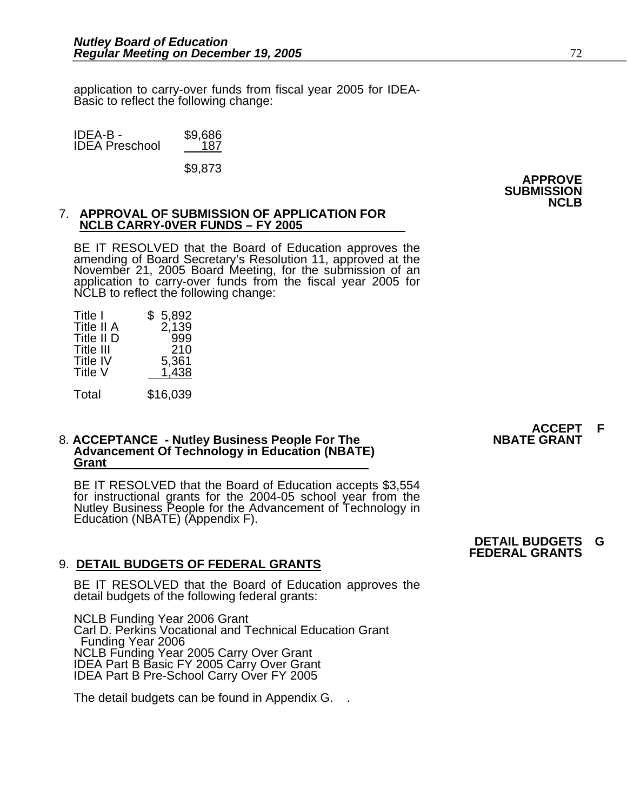application to carry-over funds from fiscal year 2005 for IDEA- Basic to reflect the following change:

| IDEA-B -              | \$9,686 |
|-----------------------|---------|
| <b>IDEA Preschool</b> | 187     |

\$9,873

**APPROVE SUBMISSION NCLB** 

### 7. **APPROVAL OF SUBMISSION OF APPLICATION FOR NCLB CARRY-0VER FUNDS – FY 2005**

BE IT RESOLVED that the Board of Education approves the<br>amending of Board Secretary's Resolution 11, approved at the<br>November 21, 2005 Board Meeting, for the submission of an application to carry-over funds from the fiscal year 2005 for<br>NCLB to reflect the following change:

| Title I<br>Title II A<br>Title II D<br>Title III<br><b>Title IV</b><br>Title V | \$<br>5,892<br>2,139<br>999<br>210<br>5,361<br>1.438 |
|--------------------------------------------------------------------------------|------------------------------------------------------|
| Total                                                                          | \$16,039                                             |

### 8. **ACCEPTANCE - Nutley Business People For The Advancement Of Technology in Education (NBATE) Grant**

BE IT RESOLVED that the Board of Education accepts \$3,554 for instructional grants for the 2004-05 school year from the Nutley Business People for the Advancement of Technology in Education (NBATE) (Appendix F).

#### 9. **DETAIL BUDGETS OF FEDERAL GRANTS**

BE IT RESOLVED that the Board of Education approves the detail budgets of the following federal grants:

NCLB Funding Year 2006 Grant Carl D. Perkins Vocational and Technical Education Grant Funding Year 2006 NCLB Funding Year 2005 Carry Over Grant IDEA Part B Basic FY 2005 Carry Over Grant IDEA Part B Pre-School Carry Over FY 2005

The detail budgets can be found in Appendix G. .

## **ACCEPT F<br>NBATE GRANT**

**DETAIL BUDGETS G FEDERAL GRANTS**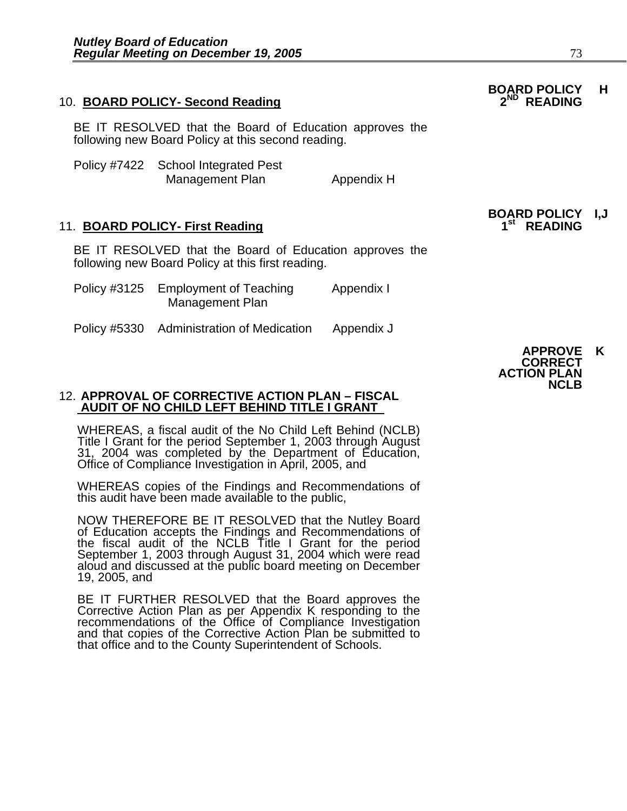#### 10. **BOARD POLICY- Second Reading**

BE IT RESOLVED that the Board of Education approves the following new Board Policy at this second reading.

| Policy #7422 School Integrated Pest |            |
|-------------------------------------|------------|
| Management Plan                     | Appendix H |

#### 11. **BOARD POLICY- First Reading**

BE IT RESOLVED that the Board of Education approves the following new Board Policy at this first reading.

| Policy #3125 Employment of Teaching | Appendix I |
|-------------------------------------|------------|
| Management Plan                     |            |
|                                     |            |

Policy #5330 Administration of Medication Appendix J

### 12. **APPROVAL OF CORRECTIVE ACTION PLAN – FISCAL AUDIT OF NO CHILD LEFT BEHIND TITLE I GRANT**

WHEREAS, a fiscal audit of the No Child Left Behind (NCLB)<br>Title I Grant for the period September 1, 2003 through August<br>31, 2004 was completed by the Department of Education,<br>Office of Compliance Investigation in April, 2

WHEREAS copies of the Findings and Recommendations of this audit have been made available to the public,

NOW THEREFORE BE IT RESOLVED that the Nutley Board of Education accepts the Findings and Recommendations of the fiscal audit of the NCLB Title I Grant for the period September 1, 2003 through August 31, 2004 which were read aloud and discussed at the public board meeting on December 19, 2005, and

BE IT FURTHER RESOLVED that the Board approves the<br>Corrective Action Plan as per Appendix K responding to the<br>recommendations of the Office of Compliance Investigation and that copies of the Corrective Action Plan be submitted to that office and to the County Superintendent of Schools.

# **BOARD POLICY I,J**

#### **APPROVE K CORRECT ACTION PLAN NCLB**

### **BOARD POLICY H**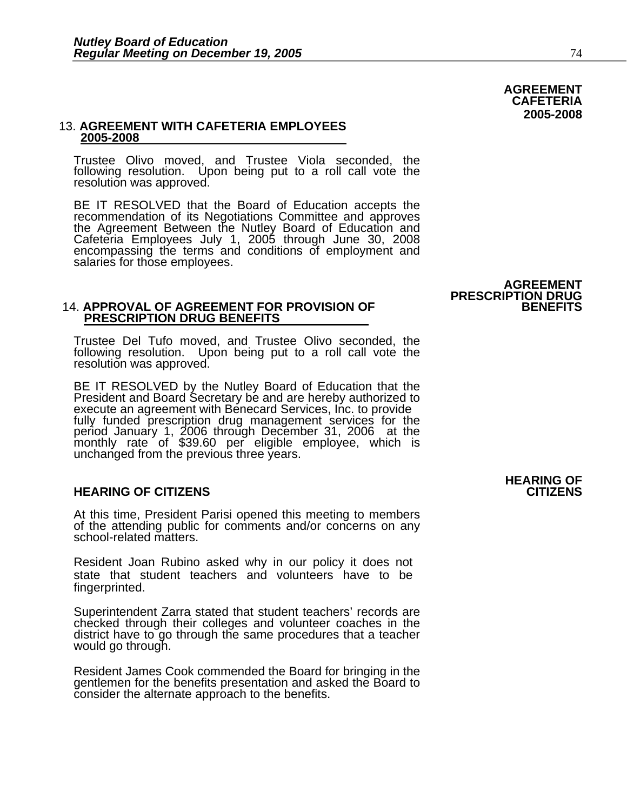#### 13. **AGREEMENT WITH CAFETERIA EMPLOYEES 2005-2008**

Trustee Olivo moved, and Trustee Viola seconded, the following resolution. Upon being put to a roll call vote the resolution was approved.

BE IT RESOLVED that the Board of Education accepts the recommendation of its Negotiations Committee and approves recommendation of its Negotiations Committee and approves<br>the Agreement Between the Nutley Board of Education and<br>Cafeteria Employees July 1, 2005 through June 30, 2008 encompassing the terms and conditions of employment and salaries for those employees.

#### 14. APPROVAL OF AGREEMENT FOR PROVISION OF  **PRESCRIPTION DRUG BENEFITS**

Trustee Del Tufo moved, and Trustee Olivo seconded, the following resolution. Upon being put to a roll call vote the resolution was approved.

BE IT RESOLVED by the Nutley Board of Education that the President and Board Secretary be and are hereby authorized to execute an agreement with Benecard Services, Inc. to provide<br>fully funded prescription drug management services for the<br>period January 1, 2006 through December 31, 2006 at the<br>monthly rate of \$39.60 per eligible employee,

#### **HEARING OF CITIZENS CITIZENS**

At this time, President Parisi opened this meeting to members of the attending public for comments and/or concerns on any school-related matters.

Resident Joan Rubino asked why in our policy it does not state that student teachers and volunteers have to be fingerprinted.

Superintendent Zarra stated that student teachers' records are checked through their colleges and volunteer coaches in the district have to go through the same procedures that a teacher would go through.

Resident James Cook commended the Board for bringing in the gentlemen for the benefits presentation and asked the Board to consider the alternate approach to the benefits.

**HEARING OF** 

**AGREEMENT PRESCRIPTION DRUG** 

#### **AGREEMENT CAFETERIA 2005-2008**